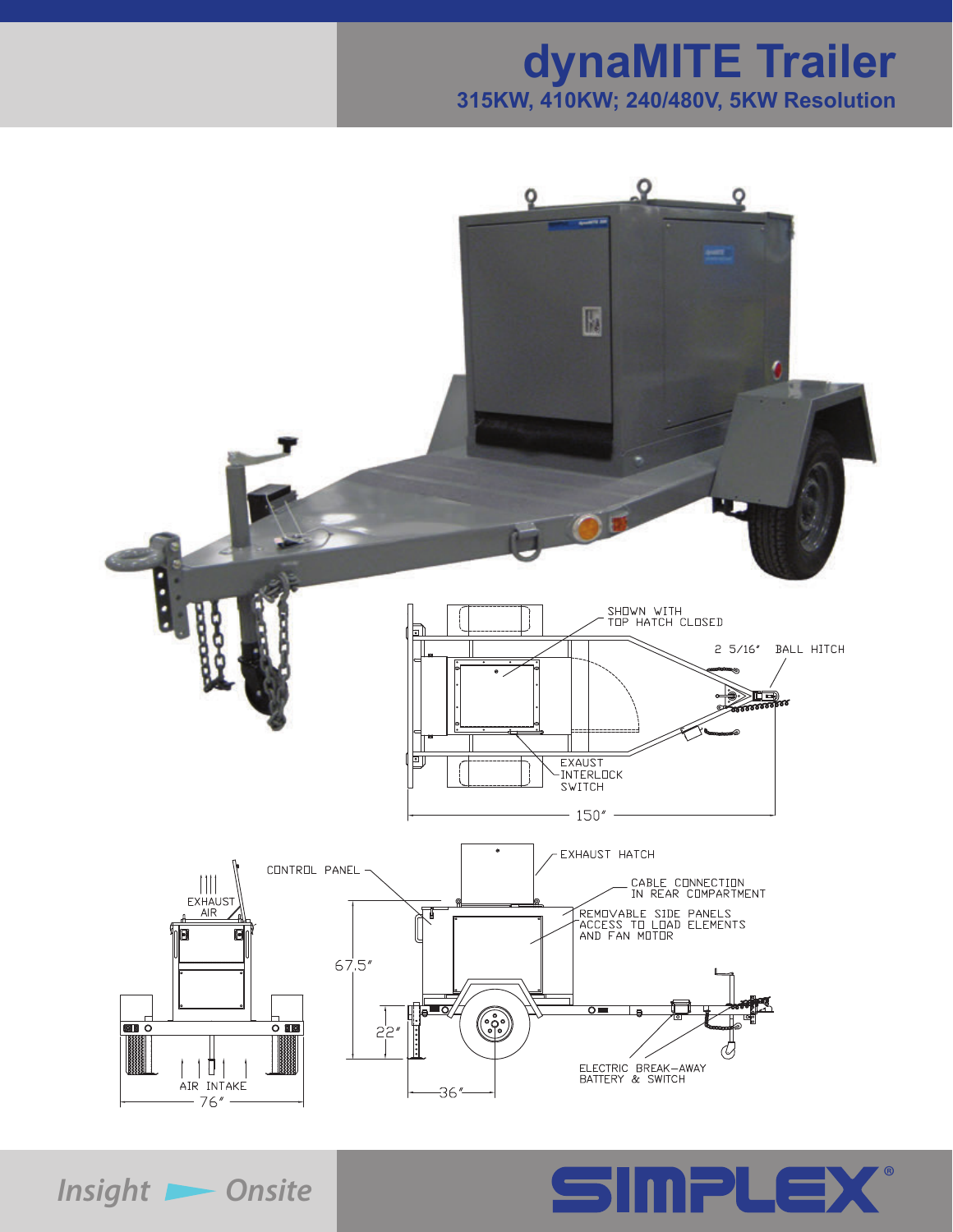# **dynaMITE Trailer 315KW, 410KW; 240/480V, 5KW Resolution**





*Insight D* Onsite